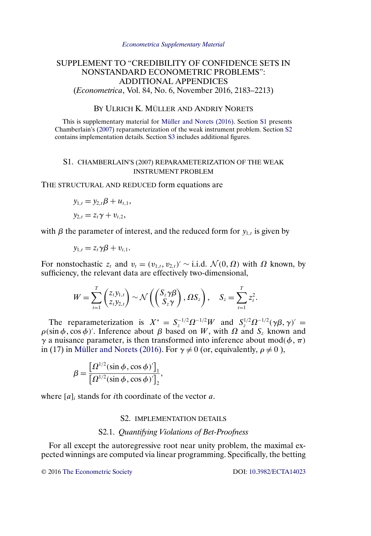#### *[Econometrica Supplementary Material](http://www.econometricsociety.org/suppmatlist.asp)*

# <span id="page-0-0"></span>SUPPLEMENT TO "CREDIBILITY OF CONFIDENCE SETS IN NONSTANDARD ECONOMETRIC PROBLEMS": ADDITIONAL APPENDICES (*Econometrica*, Vol. 84, No. 6, November 2016, 2183–2213)

# BY ULRICH K. MÜLLER AND ANDRIY NORETS

This is supplementary material for [Müller and Norets \(2016\).](#page-5-0) Section S1 presents Chamberlain's [\(2007\)](#page-5-0) reparameterization of the weak instrument problem. Section S2 contains implementation details. Section [S3](#page-3-0) includes additional figures.

## S1. CHAMBERLAIN'S (2007) REPARAMETERIZATION OF THE WEAK INSTRUMENT PROBLEM

THE STRUCTURAL AND REDUCED form equations are

$$
y_{1,t} = y_{2,t}\beta + u_{t,1},
$$
  

$$
y_{2,t} = z_t\gamma + v_{t,2},
$$

with  $\beta$  the parameter of interest, and the reduced form for  $y_{1,t}$  is given by

$$
y_{1,t}=z_t\gamma\beta+v_{t,1}.
$$

For nonstochastic  $z_t$  and  $v_t = (v_{1,t}, v_{2,t})' \sim$  i.i.d.  $\mathcal{N}(0, \Omega)$  with  $\Omega$  known, by sufficiency, the relevant data are effectively two-dimensional,

$$
W = \sum_{t=1}^T \begin{pmatrix} z_t y_{1,t} \\ z_t y_{2,t} \end{pmatrix} \sim \mathcal{N}\left( \begin{pmatrix} S_z \gamma \beta \\ S_z \gamma \end{pmatrix}, \Omega S_z \right), \quad S_z = \sum_{t=1}^T z_t^2.
$$

The reparameterization is  $X^* = S_z^{-1/2} \Omega^{-1/2} W$  and  $S_z^{1/2} \Omega^{-1/2} (\gamma \beta, \gamma)' =$  $\rho(\sin \phi, \cos \phi)'$ . Inference about  $\beta$  based on W, with  $\Omega$  and  $S_z$  known and  $\gamma$  a nuisance parameter, is then transformed into inference about mod( $\phi$ ,  $\pi$ ) in (17) in [Müller and Norets \(2016\).](#page-5-0) For  $\gamma \neq 0$  (or, equivalently,  $\rho \neq 0$ ),

$$
\beta = \frac{\left[\Omega^{1/2}(\sin\phi, \cos\phi)\right]_1}{\left[\Omega^{1/2}(\sin\phi, \cos\phi)\right]_2},
$$

where  $[a]_i$  stands for *i*th coordinate of the vector a.

#### S2. IMPLEMENTATION DETAILS

## S2.1. *Quantifying Violations of Bet-Proofness*

For all except the autoregressive root near unity problem, the maximal expected winnings are computed via linear programming. Specifically, the betting

© 2016 [The Econometric Society](http://www.econometricsociety.org/) DOI: [10.3982/ECTA14023](http://dx.doi.org/10.3982/ECTA14023)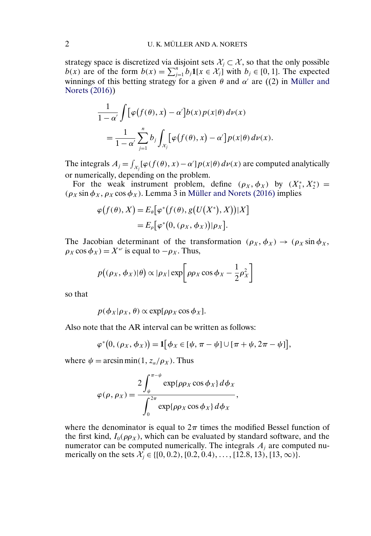strategy space is discretized via disjoint sets  $\mathcal{X}_i \subset \mathcal{X}$ , so that the only possible  $b(x)$  are of the form  $b(x) = \sum_{j=1}^{n} b_j \mathbf{1}[x \in \mathcal{X}_j]$  with  $b_j \in [0, 1]$ . The expected winnings of this betting strategy for a given  $\theta$  and  $\alpha'$  are ((2) in [Müller and](#page-5-0) [Norets \(2016\)\)](#page-5-0)

$$
\frac{1}{1-\alpha'}\int \left[\varphi\big(f(\theta),x\big)-\alpha'\right]b(x)p(x|\theta)\,d\nu(x) \n= \frac{1}{1-\alpha'}\sum_{j=1}^n b_j\int_{x_j}\left[\varphi\big(f(\theta),x\big)-\alpha'\right]p(x|\theta)\,d\nu(x).
$$

The integrals  $A_j = \int_{\mathcal{X}_j} [\varphi(f(\theta), x) - \alpha'] p(x|\theta) d\nu(x)$  are computed analytically or numerically, depending on the problem.

For the weak instrument problem, define  $(\rho_X, \phi_X)$  by  $(X_1^*, X_2^*)$  =  $(\rho_X \sin \phi_X, \rho_X \cos \phi_X)$ . Lemma 3 in [Müller and Norets \(2016\)](#page-5-0) implies

$$
\varphi\big(f(\theta), X\big) = E_{\theta}\big[\varphi^*\big(f(\theta), g\big(U\big(X^*\big), X\big)\big)|X\big]
$$
  
= 
$$
E_{\rho}\big[\varphi^*\big(0, (\rho_X, \phi_X)\big)|\rho_X\big].
$$

The Jacobian determinant of the transformation  $(\rho_X, \phi_X) \to (\rho_X \sin \phi_X,$  $\rho_X \cos \phi_X$ ) =  $X^*$  is equal to  $-\rho_X$ . Thus,

$$
p((\rho_X, \phi_X)|\theta) \propto |\rho_X| \exp \left[\rho \rho_X \cos \phi_X - \frac{1}{2} \rho_X^2\right]
$$

so that

 $p(\phi_X | \rho_X, \theta) \propto \exp[\rho \rho_X \cos \phi_X].$ 

Also note that the AR interval can be written as follows:

$$
\varphi^*(0, (\rho_X, \phi_X)) = \mathbf{1}[\phi_X \in [\psi, \pi - \psi] \cup [\pi + \psi, 2\pi - \psi]],
$$

where  $\psi = \arcsin \min(1, z_\alpha/\rho_X)$ . Thus

$$
\varphi(\rho,\rho_X) = \frac{2\int_{\psi}^{\pi-\psi} \exp\{\rho \rho_X \cos \phi_X\} d\phi_X}{\int_{0}^{2\pi} \exp\{\rho \rho_X \cos \phi_X\} d\phi_X},
$$

where the denominator is equal to  $2\pi$  times the modified Bessel function of the first kind,  $I_0(\rho \rho_X)$ , which can be evaluated by standard software, and the numerator can be computed numerically. The integrals  $A_i$  are computed numerically on the sets  $\mathcal{X}_j \in \{ [0, 0.2), [0.2, 0.4), \dots, [12.8, 13), [13, \infty) \}.$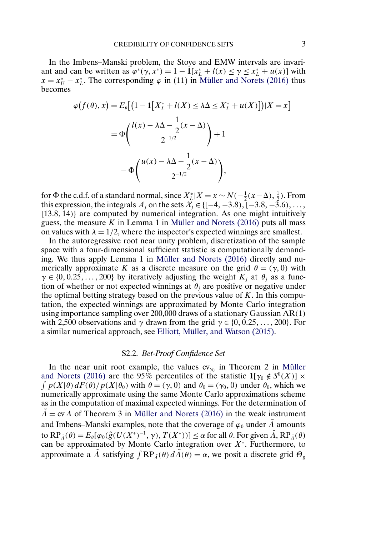<span id="page-2-0"></span>In the Imbens–Manski problem, the Stoye and EMW intervals are invariant and can be written as  $\varphi^*(\gamma, x^*) = 1 - \mathbf{1}[x_L^* + l(x) \le \gamma \le x_L^* + u(x)]$  with  $x = x_U^* - x_L^*$ . The corresponding  $\varphi$  in (11) in [Müller and Norets \(2016\)](#page-5-0) thus becomes

$$
\varphi\big(f(\theta), x\big) = E_{\theta}\big[\big(1 - \mathbf{1}\big[X_{L}^{*} + l(X) \le \lambda \Delta \le X_{L}^{*} + u(X)\big]\big)|X = x\big]
$$

$$
= \Phi\bigg(\frac{l(x) - \lambda \Delta - \frac{1}{2}(x - \Delta)}{2^{-1/2}}\bigg) + 1
$$

$$
- \Phi\bigg(\frac{u(x) - \lambda \Delta - \frac{1}{2}(x - \Delta)}{2^{-1/2}}\bigg),
$$

for  $\Phi$  the c.d.f. of a standard normal, since  $X_L^* | X = x \sim N(-\frac{1}{2}(x-\Delta), \frac{1}{2})$ . From this expression, the integrals  $A_j$  on the sets  $\mathcal{X}_j \in \{[-4, -3.8), [-3.8, -3.6), \dots,$ [13.8, 14)} are computed by numerical integration. As one might intuitively guess, the measure K in Lemma 1 in Müller and Norets  $(2016)$  puts all mass on values with  $\lambda = 1/2$ , where the inspector's expected winnings are smallest.

In the autoregressive root near unity problem, discretization of the sample space with a four-dimensional sufficient statistic is computationally demanding. We thus apply Lemma 1 in [Müller and Norets \(2016\)](#page-5-0) directly and numerically approximate K as a discrete measure on the grid  $\theta = (\gamma, 0)$  with  $\gamma \in \{0, 0.25, \dots, 200\}$  by iteratively adjusting the weight  $K_j$  at  $\theta_j$  as a function of whether or not expected winnings at  $\theta_i$  are positive or negative under the optimal betting strategy based on the previous value of  $K$ . In this computation, the expected winnings are approximated by Monte Carlo integration using importance sampling over 200,000 draws of a stationary Gaussian AR(1) with 2,500 observations and  $\gamma$  drawn from the grid  $\gamma \in \{0, 0.25, \dots, 200\}$ . For a similar numerical approach, see [Elliott, Müller, and Watson \(2015\).](#page-5-0)

#### S2.2. *Bet-Proof Confidence Set*

In the near unit root example, the values  $cv_{\gamma_0}$  in Theorem 2 in [Müller](#page-5-0) [and Norets \(2016\)](#page-5-0) are the 95% percentiles of the statistic  $\mathbf{1}[\gamma_0 \notin S^0(X)] \times$  $\int p(X|\theta) dF(\theta) / p(X|\theta_0)$  with  $\theta = (\gamma, 0)$  and  $\theta_0 = (\gamma_0, 0)$  under  $\theta_0$ , which we numerically approximate using the same Monte Carlo approximations scheme as in the computation of maximal expected winnings. For the determination of  $\overline{\Lambda}$  = cv $\Lambda$  of Theorem 3 in [Müller and Norets \(2016\)](#page-5-0) in the weak instrument and Imbens–Manski examples, note that the coverage of  $\varphi_0$  under  $\Lambda$  amounts to  $RP_{\tilde{A}}(\theta) = E_{\theta}[\varphi_0(\hat{g}(U(X^*)^{-1}, \gamma), T(X^*))] \le \alpha$  for all  $\theta$ . For given  $\tilde{A}$ ,  $RP_{\tilde{A}}(\theta)$ can be approximated by Monte Carlo integration over  $X^*$ . Furthermore, to approximate a  $\tilde{\Lambda}$  satisfying  $\int \mathbb{RP}_{\tilde{\Lambda}}(\theta) d\tilde{\Lambda}(\theta) = \alpha$ , we posit a discrete grid  $\Theta_g$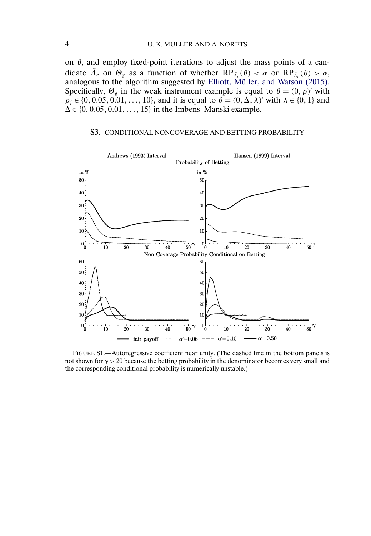<span id="page-3-0"></span>on  $\theta$ , and employ fixed-point iterations to adjust the mass points of a candidate  $\tilde{\Lambda}_c$  on  $\Theta_g$  as a function of whether  $RP_{\tilde{\Lambda}_c}(\theta) < \alpha$  or  $RP_{\tilde{\Lambda}_c}(\theta) > \alpha$ , analogous to the algorithm suggested by [Elliott, Müller, and Watson \(2015\).](#page-5-0) Specifically,  $\Theta_g$  in the weak instrument example is equal to  $\theta = (0, \rho)'$  with  $\rho_j \in \{0, 0.05, 0.01, ..., 10\}$ , and it is equal to  $\theta = (0, \Delta, \lambda)'$  with  $\lambda \in \{0, 1\}$  and  $\Delta \in \{0, 0.05, 0.01, \ldots, 15\}$  in the Imbens–Manski example.

## S3. CONDITIONAL NONCOVERAGE AND BETTING PROBABILITY



FIGURE S1.—Autoregressive coefficient near unity. (The dashed line in the bottom panels is not shown for  $\gamma > 20$  because the betting probability in the denominator becomes very small and the corresponding conditional probability is numerically unstable.)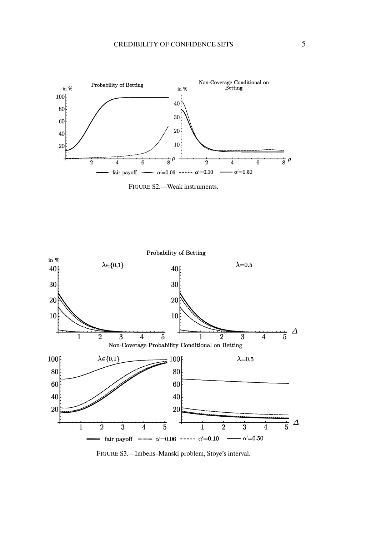





FIGURE S3.—Imbens–Manski problem, Stoye's interval.